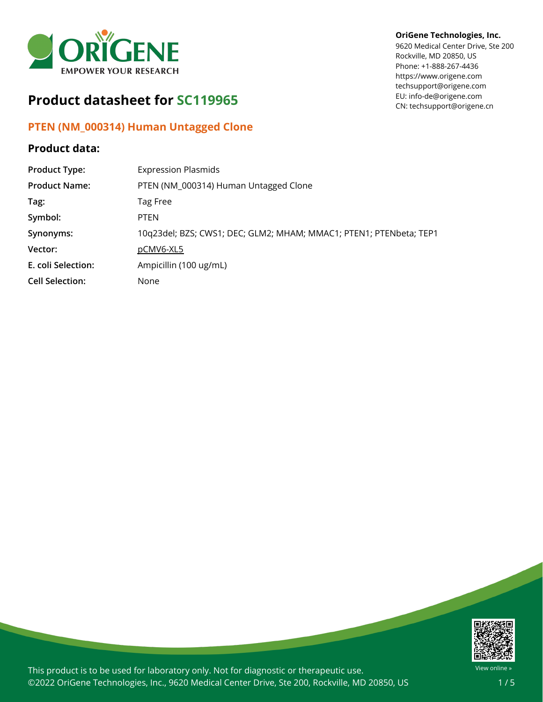

# **Product datasheet for SC119965**

## **PTEN (NM\_000314) Human Untagged Clone**

## **Product data:**

## **OriGene Technologies, Inc.**

9620 Medical Center Drive, Ste 200 Rockville, MD 20850, US Phone: +1-888-267-4436 https://www.origene.com techsupport@origene.com EU: info-de@origene.com CN: techsupport@origene.cn

| <b>Product Type:</b>   | <b>Expression Plasmids</b>                                         |
|------------------------|--------------------------------------------------------------------|
| <b>Product Name:</b>   | PTEN (NM_000314) Human Untagged Clone                              |
| Tag:                   | Tag Free                                                           |
| Symbol:                | <b>PTEN</b>                                                        |
| Synonyms:              | 10q23del; BZS; CWS1; DEC; GLM2; MHAM; MMAC1; PTEN1; PTENbeta; TEP1 |
| Vector:                | pCMV6-XL5                                                          |
| E. coli Selection:     | Ampicillin (100 ug/mL)                                             |
| <b>Cell Selection:</b> | None                                                               |



This product is to be used for laboratory only. Not for diagnostic or therapeutic use. ©2022 OriGene Technologies, Inc., 9620 Medical Center Drive, Ste 200, Rockville, MD 20850, US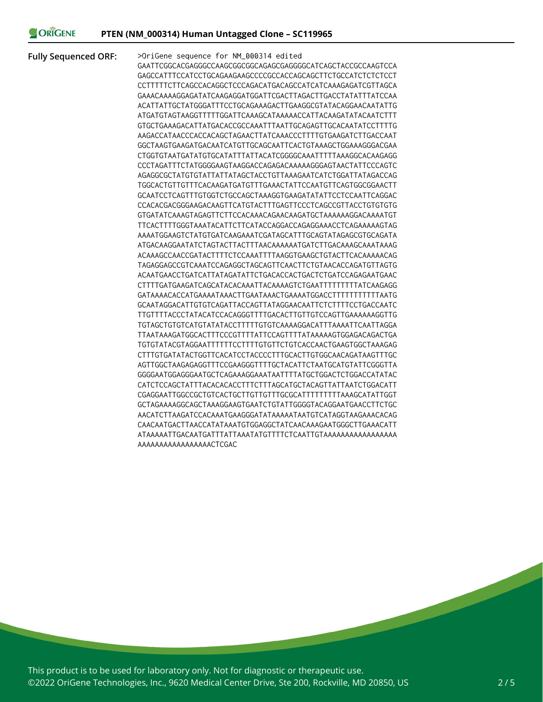### ORIGENE

**Fully Sequenced ORF:** >OriGene sequence for NM\_000314 edited GAATTCGGCACGAGGGCCAAGCGGCGGCAGAGCGAGGGGCATCAGCTACCGCCAAGTCCA GAGCCATTTCCATCCTGCAGAAGAAGCCCCGCCACCAGCAGCTTCTGCCATCTCTCTCCT CCTTTTTCTTCAGCCACAGGCTCCCAGACATGACAGCCATCATCAAAGAGATCGTTAGCA GAAACAAAAGGAGATATCAAGAGGATGGATTCGACTTAGACTTGACCTATATTTATCCAA ACATTATTGCTATGGGATTTCCTGCAGAAAGACTTGAAGGCGTATACAGGAACAATATTG ATGATGTAGTAAGGTTTTTGGATTCAAAGCATAAAAACCATTACAAGATATACAATCTTT GTGCTGAAAGACATTATGACACCGCCAAATTTAATTGCAGAGTTGCACAATATCCTTTTG AAGACCATAACCCACCACAGCTAGAACTTATCAAACCCTTTTGTGAAGATCTTGACCAAT GGCTAAGTGAAGATGACAATCATGTTGCAGCAATTCACTGTAAAGCTGGAAAGGGACGAA CTGGTGTAATGATATGTGCATATTTATTACATCGGGGCAAATTTTTAAAGGCACAAGAGG CCCTAGATTTCTATGGGGAAGTAAGGACCAGAGACAAAAAGGGAGTAACTATTCCCAGTC AGAGGCGCTATGTGTATTATTATAGCTACCTGTTAAAGAATCATCTGGATTATAGACCAG TGGCACTGTTGTTTCACAAGATGATGTTTGAAACTATTCCAATGTTCAGTGGCGGAACTT GCAATCCTCAGTTTGTGGTCTGCCAGCTAAAGGTGAAGATATATTCCTCCAATTCAGGAC CCACACGACGGGAAGACAAGTTCATGTACTTTGAGTTCCCTCAGCCGTTACCTGTGTGTG GTGATATCAAAGTAGAGTTCTTCCACAAACAGAACAAGATGCTAAAAAAGGACAAAATGT TTCACTTTTGGGTAAATACATTCTTCATACCAGGACCAGAGGAAACCTCAGAAAAAGTAG AAAATGGAAGTCTATGTGATCAAGAAATCGATAGCATTTGCAGTATAGAGCGTGCAGATA ATGACAAGGAATATCTAGTACTTACTTTAACAAAAAATGATCTTGACAAAGCAAATAAAG ACAAAGCCAACCGATACTTTTCTCCAAATTTTAAGGTGAAGCTGTACTTCACAAAAACAG TAGAGGAGCCGTCAAATCCAGAGGCTAGCAGTTCAACTTCTGTAACACCAGATGTTAGTG ACAATGAACCTGATCATTATAGATATTCTGACACCACTGACTCTGATCCAGAGAATGAAC CTTTTGATGAAGATCAGCATACACAAATTACAAAAGTCTGAATTTTTTTTTATCAAGAGG GATAAAACACCATGAAAATAAACTTGAATAAACTGAAAATGGACCTTTTTTTTTTTAATG GCAATAGGACATTGTGTCAGATTACCAGTTATAGGAACAATTCTCTTTTCCTGACCAATC TTGTTTTACCCTATACATCCACAGGGTTTTGACACTTGTTGTCCAGTTGAAAAAAGGTTG TGTAGCTGTGTCATGTATATACCTTTTTGTGTCAAAAGGACATTTAAAATTCAATTAGGA TTAATAAAGATGGCACTTTCCCGTTTTATTCCAGTTTTATAAAAAGTGGAGACAGACTGA TGTGTATACGTAGGAATTTTTTCCTTTTGTGTTCTGTCACCAACTGAAGTGGCTAAAGAG CTTTGTGATATACTGGTTCACATCCTACCCCTTTGCACTTGTGGCAACAGATAAGTTTGC AGTTGGCTAAGAGAGGTTTCCGAAGGGTTTTGCTACATTCTAATGCATGTATTCGGGTTA GGGGAATGGAGGGAATGCTCAGAAAGGAAATAATTTTATGCTGGACTCTGGACCATATAC CATCTCCAGCTATTTACACACACCTTTCTTTAGCATGCTACAGTTATTAATCTGGACATT CGAGGAATTGGCCGCTGTCACTGCTTGTTGTTTGCGCATTTTTTTTTAAAGCATATTGGT GCTAGAAAAGGCAGCTAAAGGAAGTGAATCTGTATTGGGGTACAGGAATGAACCTTCTGC AACATCTTAAGATCCACAAATGAAGGGATATAAAAATAATGTCATAGGTAAGAAACACAG CAACAATGACTTAACCATATAAATGTGGAGGCTATCAACAAAGAATGGGCTTGAAACATT ATAAAAATTGACAATGATTTATTAAATATGTTTTCTCAATTGTAAAAAAAAAAAAAAAAA AAAAAAAAAAAAAAAAACTCGAC

This product is to be used for laboratory only. Not for diagnostic or therapeutic use. ©2022 OriGene Technologies, Inc., 9620 Medical Center Drive, Ste 200, Rockville, MD 20850, US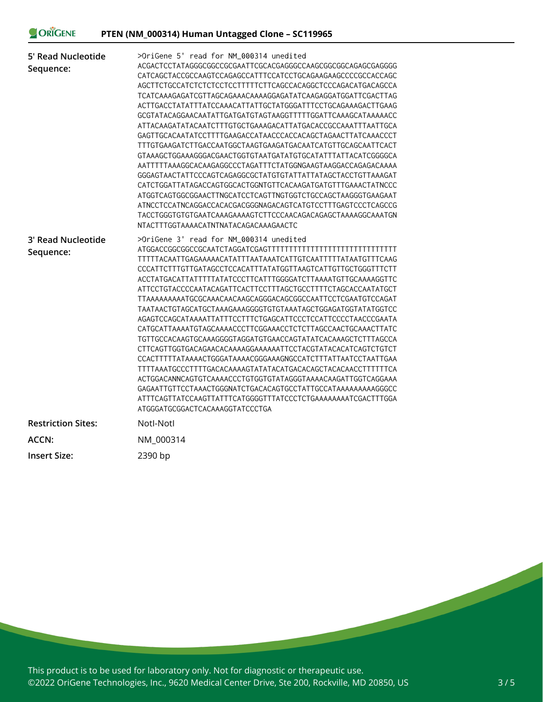# ORIGENE

| 5' Read Nucleotide<br>Sequence: | >OriGene 5' read for NM_000314 unedited<br>ACGACTCCTATAGGGCGGCCGCGAATTCGCACGAGGGCCAAGCGGCGGCAGAGCGAGGGG<br>CATCAGCTACCGCCAAGTCCAGAGCCATTTCCATCCTGCAGAAGAAGCCCCGCCACCAGC<br>AGCTTCTGCCATCTCTCTCCTCCTTTTTCTTCAGCCACAGGCTCCCAGACATGACAGCCA<br>ACTTGACCTATATTTATCCAAACATTATTGCTATGGGATTTCCTGCAGAAAGACTTGAAG<br>GCGTATACAGGAACAATATTGATGATGTAGTAAGGTTTTTGGATTCAAAGCATAAAAACC<br>ATTACAAGATATACAATCTTTGTGCTGAAAGACATTATGACACCGCCAAATTTAATTGCA<br>GAGTTGCACAATATCCTTTTGAAGACCATAACCCACCACAGCTAGAACTTATCAAACCCT<br>TTTGTGAAGATCTTGACCAATGGCTAAGTGAAGATGACAATCATGTTGCAGCAATTCACT<br>AATTTTTAAAGGCACAAGAGGCCCTAGATTTCTATGGNGAAGTAAGGACCAGAGACAAAA<br>GGGAGTAACTATTCCCAGTCAGAGGCGCTATGTGTATTATTATAGCTACCTGTTAAAGAT<br>CATCTGGATTATAGACCAGTGGCACTGGNTGTTCACAAGATGATGTTTGAAACTATNCCC<br>ATGGTCAGTGGCGGAACTTNGCATCCTCAGTTNGTGGTCTGCCAGCTAAGGGTGAAGAAT<br>ATNCCTCCATNCAGGACCACACGACGGGNAGACAGTCATGTCCTTTGAGTCCCTCAGCCG<br>NTACTTTGGTAAAACATNTNATACAGACAAAGAACTC |
|---------------------------------|--------------------------------------------------------------------------------------------------------------------------------------------------------------------------------------------------------------------------------------------------------------------------------------------------------------------------------------------------------------------------------------------------------------------------------------------------------------------------------------------------------------------------------------------------------------------------------------------------------------------------------------------------------------------------------------------------------------------------------------------------------------------------------------------------------------------------------------------------------------------------------------------------------------------------------------------------|
| 3' Read Nucleotide<br>Sequence: | >OriGene 3' read for NM_000314 unedited<br>TTTTTACAATTGAGAAAAACATATTTAATAAATCATTGTCAATTTTTATAATGTTTCAAG<br>CCCATTCTTTGTTGATAGCCTCCACATTTATATGGTTAAGTCATTGTTGCTGGGTTTCTT<br>ACCTATGACATTATTTTTATATCCCTTCATTTGGGGATCTTAAAATGTTGCAAAAGGTTC<br>ATTCCTGTACCCCAATACAGATTCACTTCCTTTAGCTGCCTTTTCTAGCACCAATATGCT<br>TTAAAAAAAAATGCGCAAACAACAAGCAGGGACAGCGGCCAATTCCTCGAATGTCCAGAT<br>TAATAACTGTAGCATGCTAAAGAAAGGGGTGTGTAAATAGCTGGAGATGGTATATGGTCC<br>AGAGTCCAGCATAAAATTATTTCCTTTCTGAGCATTCCCTCCATTCCCCTAACCCGAATA<br>CATGCATTAAAATGTAGCAAAACCCTTCGGAAACCTCTCTTAGCCAACTGCAAACTTATC<br>TGTTGCCACAAGTGCAAAGGGGTAGGATGTGAACCAGTATATCACAAAGCTCTTTAGCCA<br>CCACTTTTTATAAAACTGGGATAAAACGGGAAAGNGCCATCTTTATTAATCCTAATTGAA<br>TTTTAAATGCCCTTTTGACACAAAAGTATATACATGACACAGCTACACAACCTTTTTTCA<br>ACTGGACANNCAGTGTCAAAACCCTGTGTGTATAGGGTAAAACAAGATTGGTCAGGAAA<br>GAGAATTGTTCCTAAACTGGGNATCTGACACAGTGCCTATTGCCATAAAAAAAAAGGGCC<br>ATGGGATGCGGACTCACAAAGGTATCCCTGA        |
| <b>Restriction Sites:</b>       | Notl-Notl                                                                                                                                                                                                                                                                                                                                                                                                                                                                                                                                                                                                                                                                                                                                                                                                                                                                                                                                        |
| ACCN:                           | NM_000314                                                                                                                                                                                                                                                                                                                                                                                                                                                                                                                                                                                                                                                                                                                                                                                                                                                                                                                                        |
| <b>Insert Size:</b>             | 2390 bp                                                                                                                                                                                                                                                                                                                                                                                                                                                                                                                                                                                                                                                                                                                                                                                                                                                                                                                                          |

This product is to be used for laboratory only. Not for diagnostic or therapeutic use. ©2022 OriGene Technologies, Inc., 9620 Medical Center Drive, Ste 200, Rockville, MD 20850, US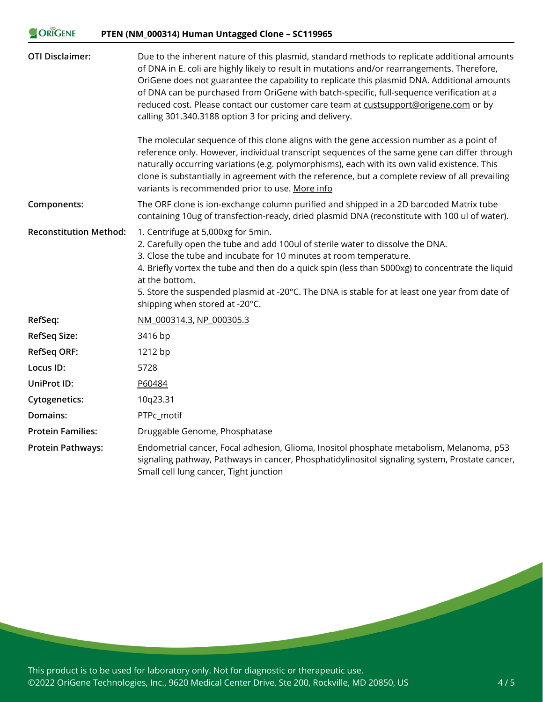### ORIGENE **PTEN (NM\_000314) Human Untagged Clone – SC119965**

| <b>OTI Disclaimer:</b>        | Due to the inherent nature of this plasmid, standard methods to replicate additional amounts<br>of DNA in E. coli are highly likely to result in mutations and/or rearrangements. Therefore,<br>OriGene does not guarantee the capability to replicate this plasmid DNA. Additional amounts<br>of DNA can be purchased from OriGene with batch-specific, full-sequence verification at a<br>reduced cost. Please contact our customer care team at custsupport@origene.com or by<br>calling 301.340.3188 option 3 for pricing and delivery. |
|-------------------------------|---------------------------------------------------------------------------------------------------------------------------------------------------------------------------------------------------------------------------------------------------------------------------------------------------------------------------------------------------------------------------------------------------------------------------------------------------------------------------------------------------------------------------------------------|
|                               | The molecular sequence of this clone aligns with the gene accession number as a point of<br>reference only. However, individual transcript sequences of the same gene can differ through<br>naturally occurring variations (e.g. polymorphisms), each with its own valid existence. This<br>clone is substantially in agreement with the reference, but a complete review of all prevailing<br>variants is recommended prior to use. More info                                                                                              |
| Components:                   | The ORF clone is ion-exchange column purified and shipped in a 2D barcoded Matrix tube<br>containing 10ug of transfection-ready, dried plasmid DNA (reconstitute with 100 ul of water).                                                                                                                                                                                                                                                                                                                                                     |
| <b>Reconstitution Method:</b> | 1. Centrifuge at 5,000xg for 5min.<br>2. Carefully open the tube and add 100ul of sterile water to dissolve the DNA.<br>3. Close the tube and incubate for 10 minutes at room temperature.<br>4. Briefly vortex the tube and then do a quick spin (less than 5000xg) to concentrate the liquid<br>at the bottom.<br>5. Store the suspended plasmid at -20°C. The DNA is stable for at least one year from date of<br>shipping when stored at -20°C.                                                                                         |
| RefSeq:                       | NM 000314.3, NP 000305.3                                                                                                                                                                                                                                                                                                                                                                                                                                                                                                                    |
| <b>RefSeq Size:</b>           | 3416 bp                                                                                                                                                                                                                                                                                                                                                                                                                                                                                                                                     |
| <b>RefSeq ORF:</b>            | 1212 bp                                                                                                                                                                                                                                                                                                                                                                                                                                                                                                                                     |
| Locus ID:                     | 5728                                                                                                                                                                                                                                                                                                                                                                                                                                                                                                                                        |
| UniProt ID:                   | P60484                                                                                                                                                                                                                                                                                                                                                                                                                                                                                                                                      |
| <b>Cytogenetics:</b>          | 10q23.31                                                                                                                                                                                                                                                                                                                                                                                                                                                                                                                                    |
| Domains:                      | PTPc_motif                                                                                                                                                                                                                                                                                                                                                                                                                                                                                                                                  |
| <b>Protein Families:</b>      | Druggable Genome, Phosphatase                                                                                                                                                                                                                                                                                                                                                                                                                                                                                                               |
| <b>Protein Pathways:</b>      | Endometrial cancer, Focal adhesion, Glioma, Inositol phosphate metabolism, Melanoma, p53<br>signaling pathway, Pathways in cancer, Phosphatidylinositol signaling system, Prostate cancer,<br>Small cell lung cancer, Tight junction                                                                                                                                                                                                                                                                                                        |